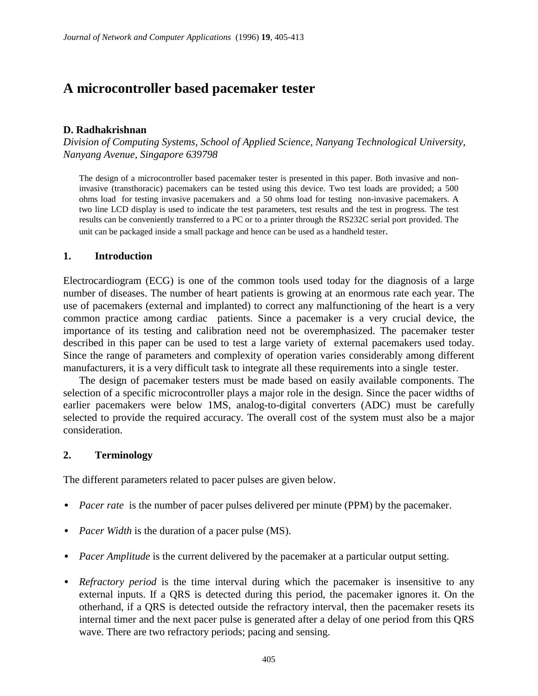# **A microcontroller based pacemaker tester**

#### **D. Radhakrishnan**

*Division of Computing Systems, School of Applied Science, Nanyang Technological University, Nanyang Avenue, Singapore 639798*

The design of a microcontroller based pacemaker tester is presented in this paper. Both invasive and noninvasive (transthoracic) pacemakers can be tested using this device. Two test loads are provided; a 500 ohms load for testing invasive pacemakers and a 50 ohms load for testing non-invasive pacemakers. A two line LCD display is used to indicate the test parameters, test results and the test in progress. The test results can be conveniently transferred to a PC or to a printer through the RS232C serial port provided. The unit can be packaged inside a small package and hence can be used as a handheld tester.

#### **1. Introduction**

Electrocardiogram (ECG) is one of the common tools used today for the diagnosis of a large number of diseases. The number of heart patients is growing at an enormous rate each year. The use of pacemakers (external and implanted) to correct any malfunctioning of the heart is a very common practice among cardiac patients. Since a pacemaker is a very crucial device, the importance of its testing and calibration need not be overemphasized. The pacemaker tester described in this paper can be used to test a large variety of external pacemakers used today. Since the range of parameters and complexity of operation varies considerably among different manufacturers, it is a very difficult task to integrate all these requirements into a single tester.

The design of pacemaker testers must be made based on easily available components. The selection of a specific microcontroller plays a major role in the design. Since the pacer widths of earlier pacemakers were below 1MS, analog-to-digital converters (ADC) must be carefully selected to provide the required accuracy. The overall cost of the system must also be a major consideration.

### **2. Terminology**

The different parameters related to pacer pulses are given below.

- *Pacer rate* is the number of pacer pulses delivered per minute (PPM) by the pacemaker.
- *Pacer Width* is the duration of a pacer pulse (MS).
- *Pacer Amplitude* is the current delivered by the pacemaker at a particular output setting.
- *Refractory period* is the time interval during which the pacemaker is insensitive to any external inputs. If a QRS is detected during this period, the pacemaker ignores it. On the otherhand, if a QRS is detected outside the refractory interval, then the pacemaker resets its internal timer and the next pacer pulse is generated after a delay of one period from this QRS wave. There are two refractory periods; pacing and sensing.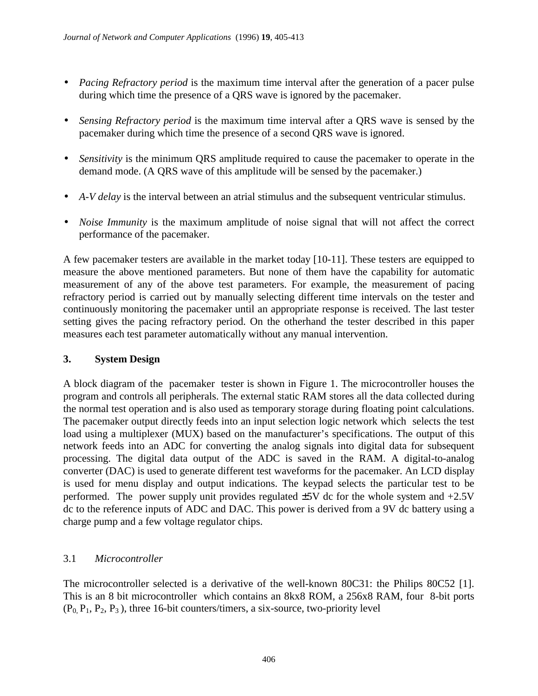- *Pacing Refractory period* is the maximum time interval after the generation of a pacer pulse during which time the presence of a QRS wave is ignored by the pacemaker.
- *Sensing Refractory period* is the maximum time interval after a QRS wave is sensed by the pacemaker during which time the presence of a second QRS wave is ignored.
- *Sensitivity* is the minimum QRS amplitude required to cause the pacemaker to operate in the demand mode. (A QRS wave of this amplitude will be sensed by the pacemaker.)
- *A-V delay* is the interval between an atrial stimulus and the subsequent ventricular stimulus.
- *Noise Immunity* is the maximum amplitude of noise signal that will not affect the correct performance of the pacemaker.

A few pacemaker testers are available in the market today [10-11]. These testers are equipped to measure the above mentioned parameters. But none of them have the capability for automatic measurement of any of the above test parameters. For example, the measurement of pacing refractory period is carried out by manually selecting different time intervals on the tester and continuously monitoring the pacemaker until an appropriate response is received. The last tester setting gives the pacing refractory period. On the otherhand the tester described in this paper measures each test parameter automatically without any manual intervention.

### **3. System Design**

A block diagram of the pacemaker tester is shown in Figure 1. The microcontroller houses the program and controls all peripherals. The external static RAM stores all the data collected during the normal test operation and is also used as temporary storage during floating point calculations. The pacemaker output directly feeds into an input selection logic network which selects the test load using a multiplexer (MUX) based on the manufacturer's specifications. The output of this network feeds into an ADC for converting the analog signals into digital data for subsequent processing. The digital data output of the ADC is saved in the RAM. A digital-to-analog converter (DAC) is used to generate different test waveforms for the pacemaker. An LCD display is used for menu display and output indications. The keypad selects the particular test to be performed. The power supply unit provides regulated  $\pm$ 5V dc for the whole system and  $+2.5V$ dc to the reference inputs of ADC and DAC. This power is derived from a 9V dc battery using a charge pump and a few voltage regulator chips.

## 3.1 *Microcontroller*

The microcontroller selected is a derivative of the well-known 80C31: the Philips 80C52 [1]. This is an 8 bit microcontroller which contains an 8kx8 ROM, a 256x8 RAM, four 8-bit ports  $(P_0, P_1, P_2, P_3)$ , three 16-bit counters/timers, a six-source, two-priority level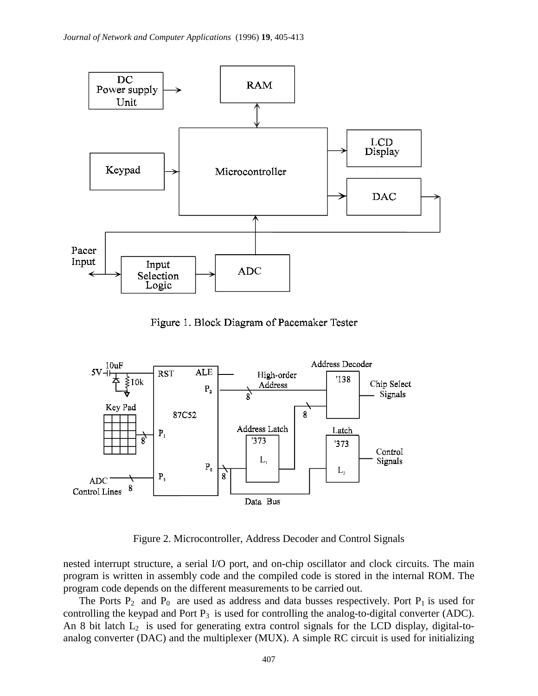

Figure 1. Block Diagram of Pacemaker Tester



Figure 2. Microcontroller, Address Decoder and Control Signals

nested interrupt structure, a serial I/O port, and on-chip oscillator and clock circuits. The main program is written in assembly code and the compiled code is stored in the internal ROM. The program code depends on the different measurements to be carried out.

The Ports  $P_2$  and  $P_0$  are used as address and data busses respectively. Port  $P_1$  is used for controlling the keypad and Port  $P_3$  is used for controlling the analog-to-digital converter (ADC). An 8 bit latch  $L_2$  is used for generating extra control signals for the LCD display, digital-toanalog converter (DAC) and the multiplexer (MUX). A simple RC circuit is used for initializing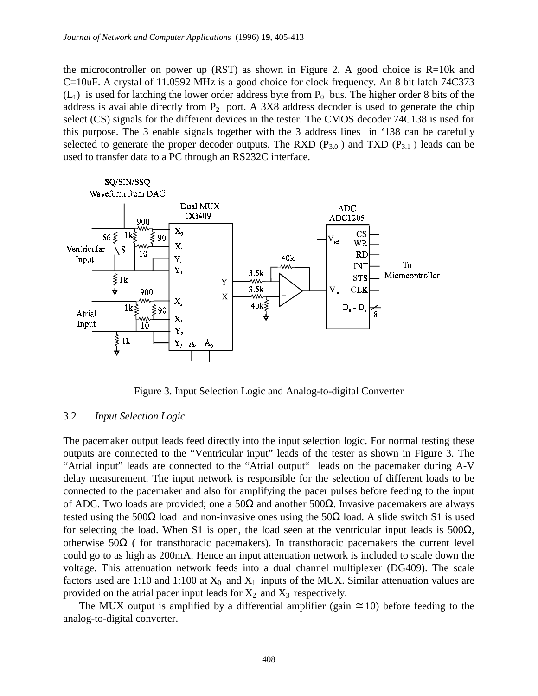the microcontroller on power up (RST) as shown in Figure 2. A good choice is  $R=10k$  and C=10uF. A crystal of 11.0592 MHz is a good choice for clock frequency. An 8 bit latch 74C373  $(L<sub>1</sub>)$  is used for latching the lower order address byte from P<sub>0</sub> bus. The higher order 8 bits of the address is available directly from  $P_2$  port. A 3X8 address decoder is used to generate the chip select (CS) signals for the different devices in the tester. The CMOS decoder 74C138 is used for this purpose. The 3 enable signals together with the 3 address lines in '138 can be carefully selected to generate the proper decoder outputs. The RXD  $(P_{3,0})$  and TXD  $(P_{3,1})$  leads can be used to transfer data to a PC through an RS232C interface.



Figure 3. Input Selection Logic and Analog-to-digital Converter

#### 3.2 *Input Selection Logic*

The pacemaker output leads feed directly into the input selection logic. For normal testing these outputs are connected to the "Ventricular input" leads of the tester as shown in Figure 3. The "Atrial input" leads are connected to the "Atrial output" leads on the pacemaker during A-V delay measurement. The input network is responsible for the selection of different loads to be connected to the pacemaker and also for amplifying the pacer pulses before feeding to the input of ADC. Two loads are provided; one a 50Ω and another 500Ω. Invasive pacemakers are always tested using the 500 $\Omega$  load and non-invasive ones using the 50 $\Omega$  load. A slide switch S1 is used for selecting the load. When S1 is open, the load seen at the ventricular input leads is  $500\Omega$ , otherwise 50Ω ( for transthoracic pacemakers). In transthoracic pacemakers the current level could go to as high as 200mA. Hence an input attenuation network is included to scale down the voltage. This attenuation network feeds into a dual channel multiplexer (DG409). The scale factors used are 1:10 and 1:100 at  $X_0$  and  $X_1$  inputs of the MUX. Similar attenuation values are provided on the atrial pacer input leads for  $X_2$  and  $X_3$  respectively.

The MUX output is amplified by a differential amplifier (gain  $\approx$  10) before feeding to the analog-to-digital converter.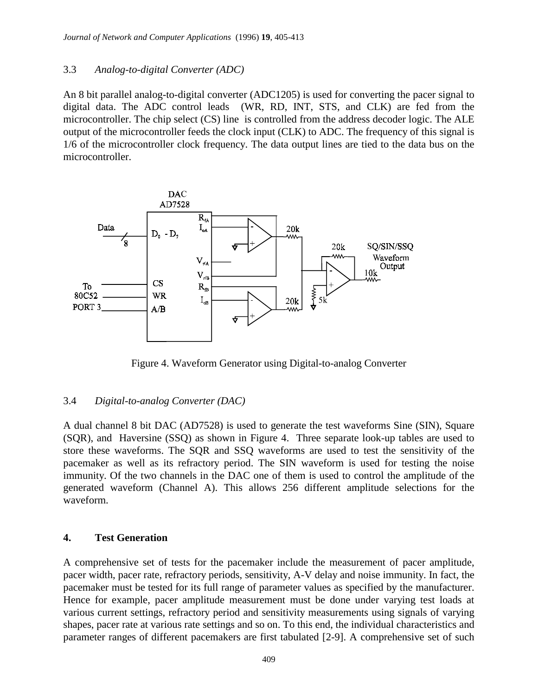### 3.3 *Analog-to-digital Converter (ADC)*

An 8 bit parallel analog-to-digital converter (ADC1205) is used for converting the pacer signal to digital data. The ADC control leads (WR, RD, INT, STS, and CLK) are fed from the microcontroller. The chip select (CS) line is controlled from the address decoder logic. The ALE output of the microcontroller feeds the clock input (CLK) to ADC. The frequency of this signal is 1/6 of the microcontroller clock frequency. The data output lines are tied to the data bus on the microcontroller.



Figure 4. Waveform Generator using Digital-to-analog Converter

### 3.4 *Digital-to-analog Converter (DAC)*

A dual channel 8 bit DAC (AD7528) is used to generate the test waveforms Sine (SIN), Square (SQR), and Haversine (SSQ) as shown in Figure 4. Three separate look-up tables are used to store these waveforms. The SQR and SSQ waveforms are used to test the sensitivity of the pacemaker as well as its refractory period. The SIN waveform is used for testing the noise immunity. Of the two channels in the DAC one of them is used to control the amplitude of the generated waveform (Channel A). This allows 256 different amplitude selections for the waveform.

### **4. Test Generation**

A comprehensive set of tests for the pacemaker include the measurement of pacer amplitude, pacer width, pacer rate, refractory periods, sensitivity, A-V delay and noise immunity. In fact, the pacemaker must be tested for its full range of parameter values as specified by the manufacturer. Hence for example, pacer amplitude measurement must be done under varying test loads at various current settings, refractory period and sensitivity measurements using signals of varying shapes, pacer rate at various rate settings and so on. To this end, the individual characteristics and parameter ranges of different pacemakers are first tabulated [2-9]. A comprehensive set of such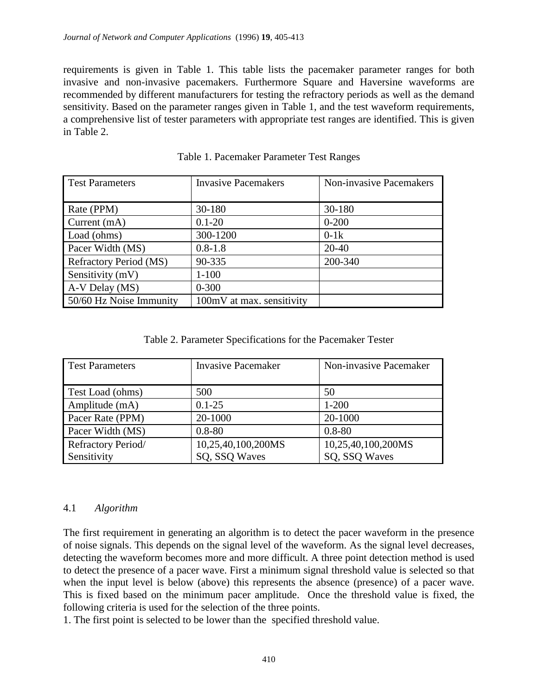requirements is given in Table 1. This table lists the pacemaker parameter ranges for both invasive and non-invasive pacemakers. Furthermore Square and Haversine waveforms are recommended by different manufacturers for testing the refractory periods as well as the demand sensitivity. Based on the parameter ranges given in Table 1, and the test waveform requirements, a comprehensive list of tester parameters with appropriate test ranges are identified. This is given in Table 2.

| <b>Test Parameters</b>        | <b>Invasive Pacemakers</b> | <b>Non-invasive Pacemakers</b> |
|-------------------------------|----------------------------|--------------------------------|
|                               |                            |                                |
| Rate (PPM)                    | 30-180                     | 30-180                         |
| Current (mA)                  | $0.1 - 20$                 | $0 - 200$                      |
| Load (ohms)                   | 300-1200                   | $0-1k$                         |
| Pacer Width (MS)              | $0.8 - 1.8$                | $20 - 40$                      |
| <b>Refractory Period (MS)</b> | 90-335                     | 200-340                        |
| Sensitivity (mV)              | $1 - 100$                  |                                |
| A-V Delay (MS)                | $0 - 300$                  |                                |
| 50/60 Hz Noise Immunity       | 100mV at max. sensitivity  |                                |

Table 1. Pacemaker Parameter Test Ranges

Table 2. Parameter Specifications for the Pacemaker Tester

| <b>Test Parameters</b> | <b>Invasive Pacemaker</b> | Non-invasive Pacemaker |
|------------------------|---------------------------|------------------------|
| Test Load (ohms)       | 500                       | 50                     |
| Amplitude (mA)         | $0.1 - 25$                | $1 - 200$              |
| Pacer Rate (PPM)       | 20-1000                   | 20-1000                |
| Pacer Width (MS)       | $0.8 - 80$                | $0.8 - 80$             |
| Refractory Period/     | 10,25,40,100,200MS        | 10,25,40,100,200MS     |
| Sensitivity            | SQ, SSQ Waves             | SQ, SSQ Waves          |

### 4.1 *Algorithm*

The first requirement in generating an algorithm is to detect the pacer waveform in the presence of noise signals. This depends on the signal level of the waveform. As the signal level decreases, detecting the waveform becomes more and more difficult. A three point detection method is used to detect the presence of a pacer wave. First a minimum signal threshold value is selected so that when the input level is below (above) this represents the absence (presence) of a pacer wave. This is fixed based on the minimum pacer amplitude. Once the threshold value is fixed, the following criteria is used for the selection of the three points.

1. The first point is selected to be lower than the specified threshold value.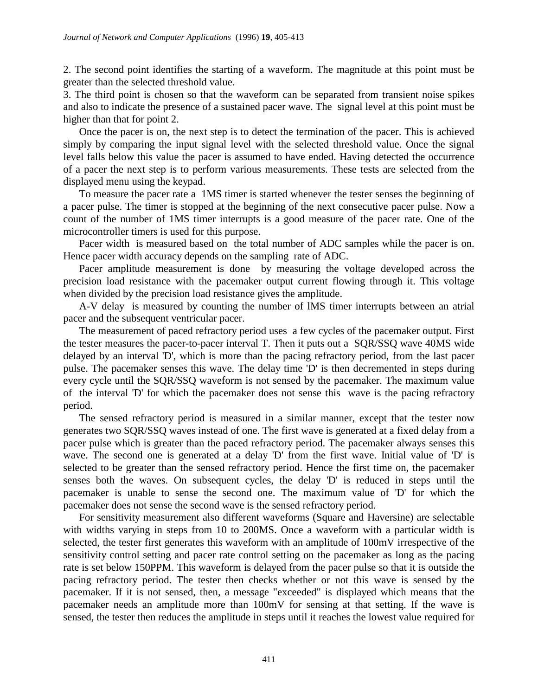2. The second point identifies the starting of a waveform. The magnitude at this point must be greater than the selected threshold value.

3. The third point is chosen so that the waveform can be separated from transient noise spikes and also to indicate the presence of a sustained pacer wave. The signal level at this point must be higher than that for point 2.

Once the pacer is on, the next step is to detect the termination of the pacer. This is achieved simply by comparing the input signal level with the selected threshold value. Once the signal level falls below this value the pacer is assumed to have ended. Having detected the occurrence of a pacer the next step is to perform various measurements. These tests are selected from the displayed menu using the keypad.

To measure the pacer rate a 1MS timer is started whenever the tester senses the beginning of a pacer pulse. The timer is stopped at the beginning of the next consecutive pacer pulse. Now a count of the number of 1MS timer interrupts is a good measure of the pacer rate. One of the microcontroller timers is used for this purpose.

Pacer width is measured based on the total number of ADC samples while the pacer is on. Hence pacer width accuracy depends on the sampling rate of ADC.

Pacer amplitude measurement is done by measuring the voltage developed across the precision load resistance with the pacemaker output current flowing through it. This voltage when divided by the precision load resistance gives the amplitude.

A-V delay is measured by counting the number of lMS timer interrupts between an atrial pacer and the subsequent ventricular pacer.

The measurement of paced refractory period uses a few cycles of the pacemaker output. First the tester measures the pacer-to-pacer interval T. Then it puts out a SQR/SSQ wave 40MS wide delayed by an interval 'D', which is more than the pacing refractory period, from the last pacer pulse. The pacemaker senses this wave. The delay time 'D' is then decremented in steps during every cycle until the SQR/SSQ waveform is not sensed by the pacemaker. The maximum value of the interval 'D' for which the pacemaker does not sense this wave is the pacing refractory period.

The sensed refractory period is measured in a similar manner, except that the tester now generates two SQR/SSQ waves instead of one. The first wave is generated at a fixed delay from a pacer pulse which is greater than the paced refractory period. The pacemaker always senses this wave. The second one is generated at a delay 'D' from the first wave. Initial value of 'D' is selected to be greater than the sensed refractory period. Hence the first time on, the pacemaker senses both the waves. On subsequent cycles, the delay 'D' is reduced in steps until the pacemaker is unable to sense the second one. The maximum value of 'D' for which the pacemaker does not sense the second wave is the sensed refractory period.

For sensitivity measurement also different waveforms (Square and Haversine) are selectable with widths varying in steps from 10 to 200MS. Once a waveform with a particular width is selected, the tester first generates this waveform with an amplitude of 100mV irrespective of the sensitivity control setting and pacer rate control setting on the pacemaker as long as the pacing rate is set below 150PPM. This waveform is delayed from the pacer pulse so that it is outside the pacing refractory period. The tester then checks whether or not this wave is sensed by the pacemaker. If it is not sensed, then, a message "exceeded" is displayed which means that the pacemaker needs an amplitude more than 100mV for sensing at that setting. If the wave is sensed, the tester then reduces the amplitude in steps until it reaches the lowest value required for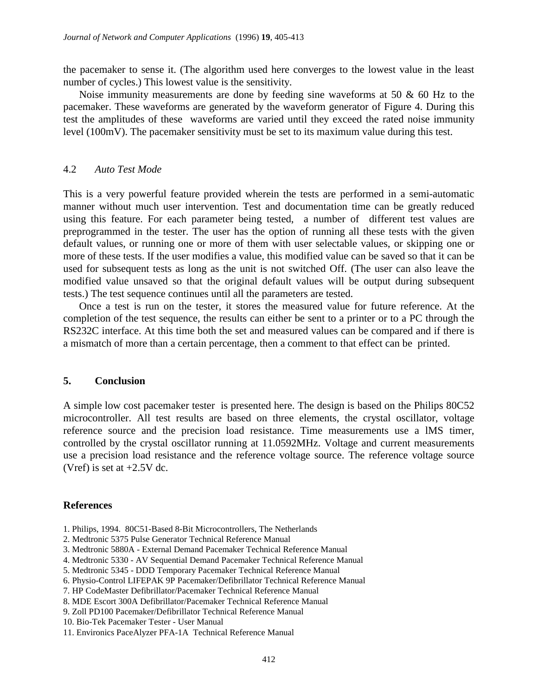the pacemaker to sense it. (The algorithm used here converges to the lowest value in the least number of cycles.) This lowest value is the sensitivity.

Noise immunity measurements are done by feeding sine waveforms at 50  $\&$  60 Hz to the pacemaker. These waveforms are generated by the waveform generator of Figure 4. During this test the amplitudes of these waveforms are varied until they exceed the rated noise immunity level (100mV). The pacemaker sensitivity must be set to its maximum value during this test.

#### 4.2 *Auto Test Mode*

This is a very powerful feature provided wherein the tests are performed in a semi-automatic manner without much user intervention. Test and documentation time can be greatly reduced using this feature. For each parameter being tested, a number of different test values are preprogrammed in the tester. The user has the option of running all these tests with the given default values, or running one or more of them with user selectable values, or skipping one or more of these tests. If the user modifies a value, this modified value can be saved so that it can be used for subsequent tests as long as the unit is not switched Off. (The user can also leave the modified value unsaved so that the original default values will be output during subsequent tests.) The test sequence continues until all the parameters are tested.

Once a test is run on the tester, it stores the measured value for future reference. At the completion of the test sequence, the results can either be sent to a printer or to a PC through the RS232C interface. At this time both the set and measured values can be compared and if there is a mismatch of more than a certain percentage, then a comment to that effect can be printed.

#### **5. Conclusion**

A simple low cost pacemaker tester is presented here. The design is based on the Philips 80C52 microcontroller. All test results are based on three elements, the crystal oscillator, voltage reference source and the precision load resistance. Time measurements use a lMS timer, controlled by the crystal oscillator running at 11.0592MHz. Voltage and current measurements use a precision load resistance and the reference voltage source. The reference voltage source (Vref) is set at  $+2.5V$  dc.

#### **References**

- 1. Philips, 1994. 80C51-Based 8-Bit Microcontrollers, The Netherlands
- 2. Medtronic 5375 Pulse Generator Technical Reference Manual
- 3. Medtronic 5880A External Demand Pacemaker Technical Reference Manual
- 4. Medtronic 5330 AV Sequential Demand Pacemaker Technical Reference Manual
- 5. Medtronic 5345 DDD Temporary Pacemaker Technical Reference Manual
- 6. Physio-Control LIFEPAK 9P Pacemaker/Defibrillator Technical Reference Manual
- 7. HP CodeMaster Defibrillator/Pacemaker Technical Reference Manual
- 8. MDE Escort 300A Defibrillator/Pacemaker Technical Reference Manual
- 9. Zoll PD100 Pacemaker/Defibrillator Technical Reference Manual
- 10. Bio-Tek Pacemaker Tester User Manual

<sup>11.</sup> Environics PaceAlyzer PFA-1A Technical Reference Manual